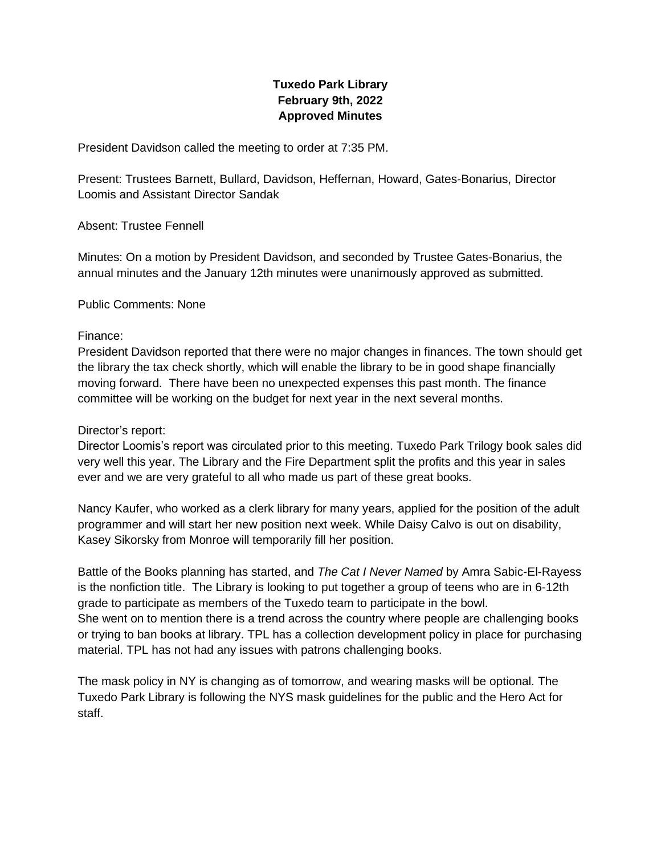# **Tuxedo Park Library February 9th, 2022 Approved Minutes**

President Davidson called the meeting to order at 7:35 PM.

Present: Trustees Barnett, Bullard, Davidson, Heffernan, Howard, Gates-Bonarius, Director Loomis and Assistant Director Sandak

Absent: Trustee Fennell

Minutes: On a motion by President Davidson, and seconded by Trustee Gates-Bonarius, the annual minutes and the January 12th minutes were unanimously approved as submitted.

Public Comments: None

#### Finance:

President Davidson reported that there were no major changes in finances. The town should get the library the tax check shortly, which will enable the library to be in good shape financially moving forward. There have been no unexpected expenses this past month. The finance committee will be working on the budget for next year in the next several months.

#### Director's report:

Director Loomis's report was circulated prior to this meeting. Tuxedo Park Trilogy book sales did very well this year. The Library and the Fire Department split the profits and this year in sales ever and we are very grateful to all who made us part of these great books.

Nancy Kaufer, who worked as a clerk library for many years, applied for the position of the adult programmer and will start her new position next week. While Daisy Calvo is out on disability, Kasey Sikorsky from Monroe will temporarily fill her position.

Battle of the Books planning has started, and *The Cat I Never Named* by Amra Sabic-El-Rayess is the nonfiction title. The Library is looking to put together a group of teens who are in 6-12th grade to participate as members of the Tuxedo team to participate in the bowl. She went on to mention there is a trend across the country where people are challenging books or trying to ban books at library. TPL has a collection development policy in place for purchasing material. TPL has not had any issues with patrons challenging books.

The mask policy in NY is changing as of tomorrow, and wearing masks will be optional. The Tuxedo Park Library is following the NYS mask guidelines for the public and the Hero Act for staff.